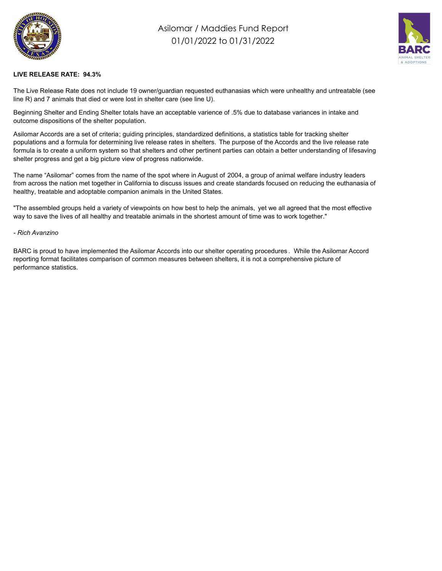

## Asilomar / Maddies Fund Report 01/01/2022 to 01/31/2022



## **LIVE RELEASE RATE: 94.3%**

The Live Release Rate does not include 19 owner/guardian requested euthanasias which were unhealthy and untreatable (see line R) and 7 animals that died or were lost in shelter care (see line U).

Beginning Shelter and Ending Shelter totals have an acceptable varience of .5% due to database variances in intake and outcome dispositions of the shelter population.

Asilomar Accords are a set of criteria; guiding principles, standardized definitions, a statistics table for tracking shelter populations and a formula for determining live release rates in shelters. The purpose of the Accords and the live release rate formula is to create a uniform system so that shelters and other pertinent parties can obtain a better understanding of lifesaving shelter progress and get a big picture view of progress nationwide.

The name "Asilomar" comes from the name of the spot where in August of 2004, a group of animal welfare industry leaders from across the nation met together in California to discuss issues and create standards focused on reducing the euthanasia of healthy, treatable and adoptable companion animals in the United States.

"The assembled groups held a variety of viewpoints on how best to help the animals, yet we all agreed that the most effective way to save the lives of all healthy and treatable animals in the shortest amount of time was to work together."

## *- Rich Avanzino*

BARC is proud to have implemented the Asilomar Accords into our shelter operating procedures . While the Asilomar Accord reporting format facilitates comparison of common measures between shelters, it is not a comprehensive picture of performance statistics.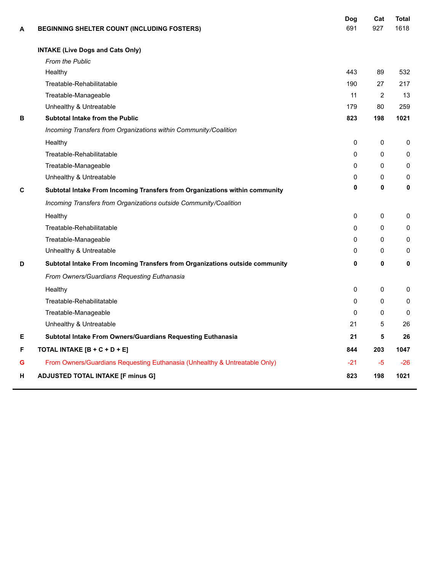| A | <b>BEGINNING SHELTER COUNT (INCLUDING FOSTERS)</b>                           | Dog<br>691 | Cat<br>927     | <b>Total</b><br>1618 |
|---|------------------------------------------------------------------------------|------------|----------------|----------------------|
|   | <b>INTAKE (Live Dogs and Cats Only)</b>                                      |            |                |                      |
|   | <b>From the Public</b>                                                       |            |                |                      |
|   | Healthy                                                                      | 443        | 89             | 532                  |
|   | Treatable-Rehabilitatable                                                    | 190        | 27             | 217                  |
|   | Treatable-Manageable                                                         | 11         | $\overline{2}$ | 13                   |
|   | Unhealthy & Untreatable                                                      | 179        | 80             | 259                  |
| В | <b>Subtotal Intake from the Public</b>                                       | 823        | 198            | 1021                 |
|   | Incoming Transfers from Organizations within Community/Coalition             |            |                |                      |
|   | Healthy                                                                      | 0          | 0              | 0                    |
|   | Treatable-Rehabilitatable                                                    | $\Omega$   | $\Omega$       | $\mathbf 0$          |
|   | Treatable-Manageable                                                         | $\Omega$   | $\Omega$       | $\mathbf 0$          |
|   | Unhealthy & Untreatable                                                      | 0          | 0              | 0                    |
| C | Subtotal Intake From Incoming Transfers from Organizations within community  | 0          | 0              | 0                    |
|   | Incoming Transfers from Organizations outside Community/Coalition            |            |                |                      |
|   | Healthy                                                                      | 0          | 0              | 0                    |
|   | Treatable-Rehabilitatable                                                    | $\Omega$   | 0              | 0                    |
|   | Treatable-Manageable                                                         | $\Omega$   | $\Omega$       | 0                    |
|   | Unhealthy & Untreatable                                                      | 0          | 0              | $\Omega$             |
| D | Subtotal Intake From Incoming Transfers from Organizations outside community | 0          | 0              | 0                    |
|   | From Owners/Guardians Requesting Euthanasia                                  |            |                |                      |
|   | Healthy                                                                      | 0          | 0              | 0                    |
|   | Treatable-Rehabilitatable                                                    | $\Omega$   | 0              | 0                    |
|   | Treatable-Manageable                                                         | 0          | 0              | $\Omega$             |
|   | Unhealthy & Untreatable                                                      | 21         | 5              | 26                   |
| Е | Subtotal Intake From Owners/Guardians Requesting Euthanasia                  | 21         | 5              | 26                   |
| F | TOTAL INTAKE [B + C + D + E]                                                 | 844        | 203            | 1047                 |
| G | From Owners/Guardians Requesting Euthanasia (Unhealthy & Untreatable Only)   | $-21$      | -5             | -26                  |
| H | <b>ADJUSTED TOTAL INTAKE [F minus G]</b>                                     | 823        | 198            | 1021                 |